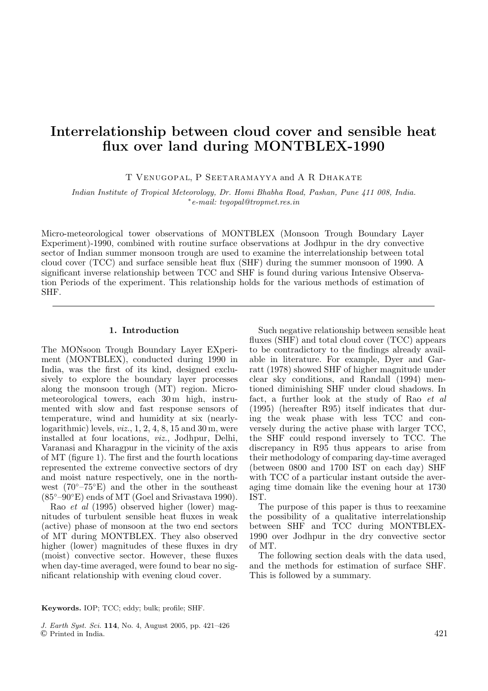# Interrelationship between cloud cover and sensible heat flux over land during MONTBLEX-1990

T Venugopal, P Seetaramayya and A R Dhakate

Indian Institute of Tropical Meteorology, Dr. Homi Bhabha Road, Pashan, Pune 411 008, India. <sup>∗</sup>e-mail: tvgopal@tropmet.res.in

Micro-meteorological tower observations of MONTBLEX (Monsoon Trough Boundary Layer Experiment)-1990, combined with routine surface observations at Jodhpur in the dry convective sector of Indian summer monsoon trough are used to examine the interrelationship between total cloud cover (TCC) and surface sensible heat flux (SHF) during the summer monsoon of 1990. A significant inverse relationship between TCC and SHF is found during various Intensive Observation Periods of the experiment. This relationship holds for the various methods of estimation of SHF.

# 1. Introduction

The MONsoon Trough Boundary Layer EXperiment (MONTBLEX), conducted during 1990 in India, was the first of its kind, designed exclusively to explore the boundary layer processes along the monsoon trough (MT) region. Micrometeorological towers, each 30 m high, instrumented with slow and fast response sensors of temperature, wind and humidity at six (nearlylogarithmic) levels,  $viz.$ , 1, 2, 4, 8, 15 and 30 m, were installed at four locations, viz., Jodhpur, Delhi, Varanasi and Kharagpur in the vicinity of the axis of MT (figure 1). The first and the fourth locations represented the extreme convective sectors of dry and moist nature respectively, one in the northwest  $(70^{\circ}-75^{\circ}E)$  and the other in the southeast  $(85°-90°E)$  ends of MT (Goel and Srivastava 1990).

Rao et al (1995) observed higher (lower) magnitudes of turbulent sensible heat fluxes in weak (active) phase of monsoon at the two end sectors of MT during MONTBLEX. They also observed higher (lower) magnitudes of these fluxes in dry (moist) convective sector. However, these fluxes when day-time averaged, were found to bear no significant relationship with evening cloud cover.

Such negative relationship between sensible heat fluxes (SHF) and total cloud cover (TCC) appears to be contradictory to the findings already available in literature. For example, Dyer and Garratt (1978) showed SHF of higher magnitude under clear sky conditions, and Randall (1994) mentioned diminishing SHF under cloud shadows. In fact, a further look at the study of Rao et al (1995) (hereafter R95) itself indicates that during the weak phase with less TCC and conversely during the active phase with larger TCC, the SHF could respond inversely to TCC. The discrepancy in R95 thus appears to arise from their methodology of comparing day-time averaged (between 0800 and 1700 IST on each day) SHF with TCC of a particular instant outside the averaging time domain like the evening hour at 1730 IST.

The purpose of this paper is thus to reexamine the possibility of a qualitative interrelationship between SHF and TCC during MONTBLEX-1990 over Jodhpur in the dry convective sector of MT.

The following section deals with the data used, and the methods for estimation of surface SHF. This is followed by a summary.

Keywords. IOP; TCC; eddy; bulk; profile; SHF.

J. Earth Syst. Sci. 114, No. 4, August 2005, pp. 421–426 © Printed in India. 421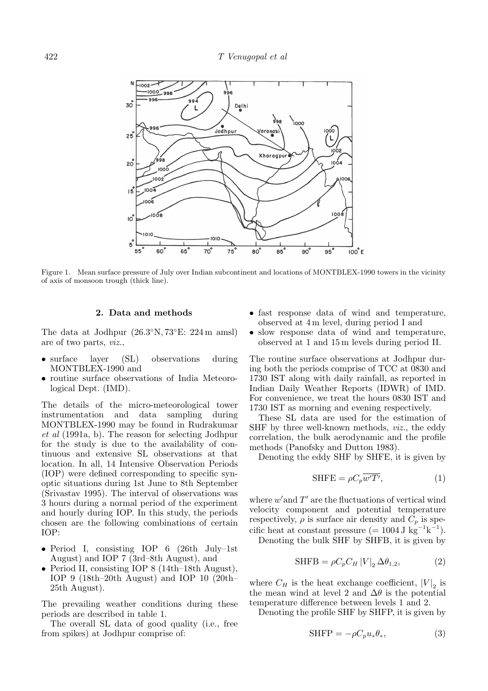

Figure 1. Mean surface pressure of July over Indian subcontinent and locations of MONTBLEX-1990 towers in the vicinity of axis of monsoon trough (thick line).

### 2. Data and methods

The data at Jodhpur (26.3◦N, 73◦E: 224 m amsl) are of two parts, viz.,

- surface layer (SL) observations during MONTBLEX-1990 and
- routine surface observations of India Meteorological Dept. (IMD).

The details of the micro-meteorological tower instrumentation and data sampling during MONTBLEX-1990 may be found in Rudrakumar et al (1991a, b). The reason for selecting Jodhpur for the study is due to the availability of continuous and extensive SL observations at that location. In all, 14 Intensive Observation Periods (IOP) were defined corresponding to specific synoptic situations during 1st June to 8th September (Srivastav 1995). The interval of observations was 3 hours during a normal period of the experiment and hourly during IOP. In this study, the periods chosen are the following combinations of certain IOP:

- Period I, consisting IOP 6 (26th July–1st August) and IOP 7 (3rd–8th August), and
- Period II, consisting IOP 8 (14th–18th August), IOP 9 (18th–20th August) and IOP 10 (20th– 25th August).

The prevailing weather conditions during these periods are described in table 1.

The overall SL data of good quality (i.e., free from spikes) at Jodhpur comprise of:

- fast response data of wind and temperature, observed at 4 m level, during period I and
- slow response data of wind and temperature, observed at 1 and 15 m levels during period II.

The routine surface observations at Jodhpur during both the periods comprise of TCC at 0830 and 1730 IST along with daily rainfall, as reported in Indian Daily Weather Reports (IDWR) of IMD. For convenience, we treat the hours 0830 IST and 1730 IST as morning and evening respectively.

These SL data are used for the estimation of SHF by three well-known methods, viz., the eddy correlation, the bulk aerodynamic and the profile methods (Panofsky and Dutton 1983).

Denoting the eddy SHF by SHFE, it is given by

$$
\text{SHFE} = \rho C_p \overline{w'T'},\tag{1}
$$

where  $w'$  and  $T'$  are the fluctuations of vertical wind velocity component and potential temperature respectively,  $\rho$  is surface air density and  $C_p$  is specific heat at constant pressure  $(= 1004 \text{ J kg}^{-1} \text{ k}^{-1}).$ 

Denoting the bulk SHF by SHFB, it is given by

$$
\text{SHFB} = \rho C_p C_H \left| V \right|_2 \Delta \theta_{1,2},\tag{2}
$$

where  $C_H$  is the heat exchange coefficient,  $|V|_2$  is the mean wind at level 2 and  $\Delta\theta$  is the potential temperature difference between levels 1 and 2.

Denoting the profile SHF by SHFP, it is given by

$$
SHFP = -\rho C_p u_* \theta_*,\tag{3}
$$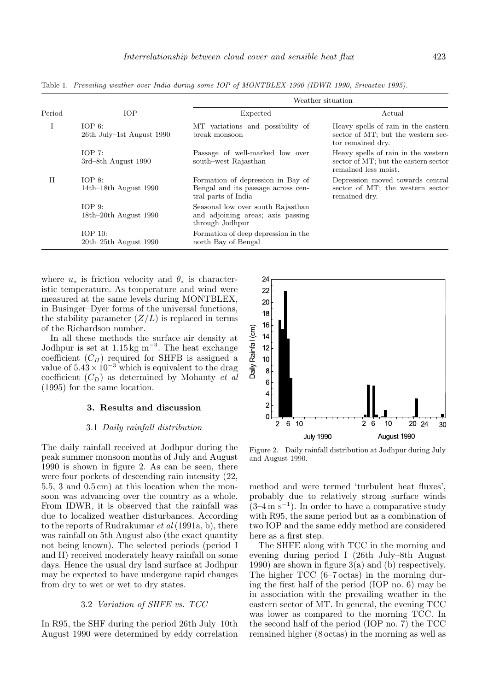| Period | <b>IOP</b>                             | Weather situation                                                                              |                                                                                                     |
|--------|----------------------------------------|------------------------------------------------------------------------------------------------|-----------------------------------------------------------------------------------------------------|
|        |                                        | Expected                                                                                       | Actual                                                                                              |
|        | IOP $6$ :<br>26th July-1st August 1990 | MT variations and possibility of<br>break monsoon                                              | Heavy spells of rain in the eastern<br>sector of MT; but the western sec-<br>tor remained dry.      |
|        | IOP 7:<br>$3rd-8th$ August 1990        | Passage of well-marked low over<br>south-west Rajasthan                                        | Heavy spells of rain in the western<br>sector of MT; but the eastern sector<br>remained less moist. |
| H      | $IOP_8:$<br>$14th-18th$ August 1990    | Formation of depression in Bay of<br>Bengal and its passage across cen-<br>tral parts of India | Depression moved towards central<br>sector of MT; the western sector<br>remained dry.               |
|        | $IOP_9:$<br>$18th-20th$ August 1990    | Seasonal low over south Rajasthan<br>and adjoining areas; axis passing<br>through Jodhpur      |                                                                                                     |
|        | $IOP_10:$<br>$20th-25th$ August 1990   | Formation of deep depression in the<br>north Bay of Bengal                                     |                                                                                                     |

Table 1. Prevailing weather over India during some IOP of MONTBLEX-1990 (IDWR 1990, Srivastav 1995).

where  $u_*$  is friction velocity and  $\theta_*$  is characteristic temperature. As temperature and wind were measured at the same levels during MONTBLEX, in Businger–Dyer forms of the universal functions, the stability parameter  $(Z/L)$  is replaced in terms of the Richardson number.

In all these methods the surface air density at Jodhpur is set at  $1.15 \text{ kg m}^{-3}$ . The heat exchange coefficient  $(C_H)$  required for SHFB is assigned a value of  $5.43 \times 10^{-3}$  which is equivalent to the drag coefficient  $(C_D)$  as determined by Mohanty *et al* (1995) for the same location.

# 3. Results and discussion

### 3.1 Daily rainfall distribution

The daily rainfall received at Jodhpur during the peak summer monsoon months of July and August 1990 is shown in figure 2. As can be seen, there were four pockets of descending rain intensity (22, 5.5, 3 and 0.5 cm) at this location when the monsoon was advancing over the country as a whole. From IDWR, it is observed that the rainfall was due to localized weather disturbances. According to the reports of Rudrakumar *et al* (1991a, b), there was rainfall on 5th August also (the exact quantity not being known). The selected periods (period I and II) received moderately heavy rainfall on some days. Hence the usual dry land surface at Jodhpur may be expected to have undergone rapid changes from dry to wet or wet to dry states.

#### 3.2 Variation of SHFE vs. TCC

In R95, the SHF during the period 26th July–10th August 1990 were determined by eddy correlation



Figure 2. Daily rainfall distribution at Jodhpur during July and August 1990.

method and were termed 'turbulent heat fluxes', probably due to relatively strong surface winds  $(3-4 \text{ m s}^{-1})$ . In order to have a comparative study with R95, the same period but as a combination of two IOP and the same eddy method are considered here as a first step.

The SHFE along with TCC in the morning and evening during period I (26th July–8th August 1990) are shown in figure 3(a) and (b) respectively. The higher TCC (6–7 octas) in the morning during the first half of the period (IOP no. 6) may be in association with the prevailing weather in the eastern sector of MT. In general, the evening TCC was lower as compared to the morning TCC. In the second half of the period (IOP no. 7) the TCC remained higher (8 octas) in the morning as well as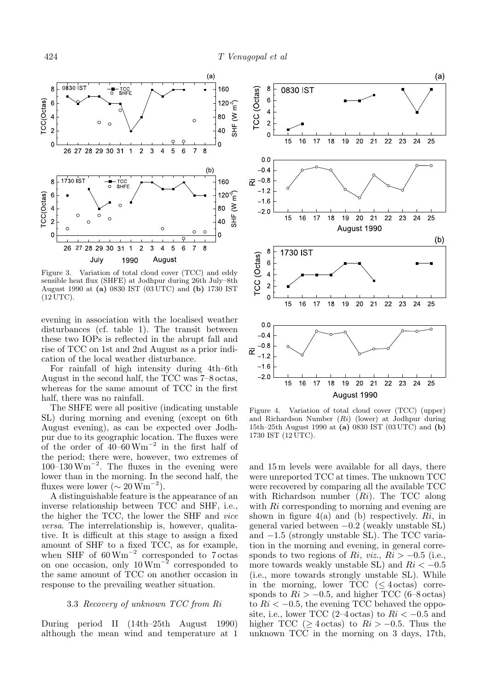

Figure 3. Variation of total cloud cover (TCC) and eddy sensible heat flux (SHFE) at Jodhpur during 26th July–8th August 1990 at (a) 0830 IST (03 UTC) and (b) 1730 IST (12 UTC).

evening in association with the localised weather disturbances (cf. table 1). The transit between these two IOPs is reflected in the abrupt fall and rise of TCC on 1st and 2nd August as a prior indication of the local weather disturbance.

For rainfall of high intensity during 4th–6th August in the second half, the TCC was 7–8 octas, whereas for the same amount of TCC in the first half, there was no rainfall.

The SHFE were all positive (indicating unstable SL) during morning and evening (except on 6th August evening), as can be expected over Jodhpur due to its geographic location. The fluxes were of the order of  $40-60 \text{ Wm}^{-2}$  in the first half of the period; there were, however, two extremes of  $100-130 \,\mathrm{Wm}^{-2}$ . The fluxes in the evening were lower than in the morning. In the second half, the fluxes were lower ( $\sim 20 \,\mathrm{Wm}^{-2}$ ).

A distinguishable feature is the appearance of an inverse relationship between TCC and SHF, i.e., the higher the TCC, the lower the SHF and vice versa. The interrelationship is, however, qualitative. It is difficult at this stage to assign a fixed amount of SHF to a fixed TCC, as for example, when SHF of  $60 \,\mathrm{Wm}^{-2}$  corresponded to 7 octas on one occasion, only  $10 \,\mathrm{Wm}^{-2}$  corresponded to the same amount of TCC on another occasion in response to the prevailing weather situation.

#### 3.3 Recovery of unknown TCC from Ri

During period II (14th–25th August 1990) although the mean wind and temperature at 1



Figure 4. Variation of total cloud cover (TCC) (upper) and Richardson Number (Ri) (lower) at Jodhpur during 15th–25th August 1990 at (a) 0830 IST (03 UTC) and (b) 1730 IST (12 UTC).

and 15 m levels were available for all days, there were unreported TCC at times. The unknown TCC were recovered by comparing all the available TCC with Richardson number  $(Ri)$ . The TCC along with Ri corresponding to morning and evening are shown in figure  $4(a)$  and (b) respectively. Ri, in general varied between  $-0.2$  (weakly unstable SL) and −1.5 (strongly unstable SL). The TCC variation in the morning and evening, in general corresponds to two regions of Ri, viz.,  $Ri > -0.5$  (i.e., more towards weakly unstable SL) and  $Ri < -0.5$ (i.e., more towards strongly unstable SL). While in the morning, lower  $TCC \leq 4 \text{ octas}$  corresponds to  $Ri > -0.5$ , and higher TCC (6–8 octas) to  $Ri < -0.5$ , the evening TCC behaved the opposite, i.e., lower TCC (2–4 octas) to  $Ri < -0.5$  and higher TCC ( $>$  4 octas) to  $Ri > -0.5$ . Thus the unknown TCC in the morning on 3 days, 17th,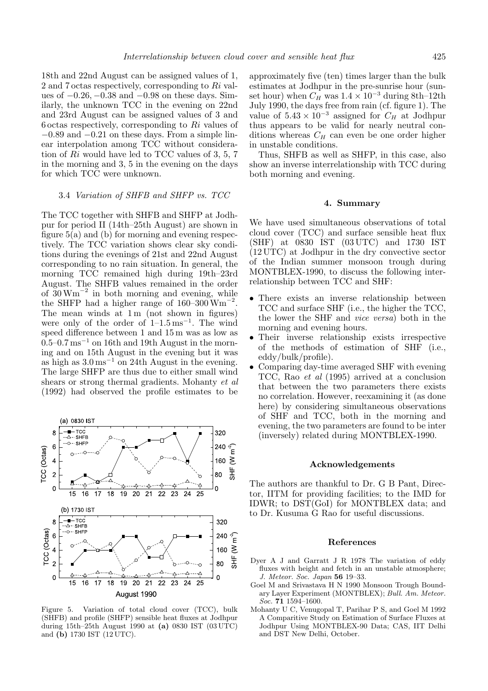18th and 22nd August can be assigned values of 1, 2 and 7 octas respectively, corresponding to Ri values of −0.26, −0.38 and −0.98 on these days. Similarly, the unknown TCC in the evening on 22nd and 23rd August can be assigned values of 3 and  $6 \text{ octas respectively, corresponding to } Ri \text{ values of }$  $-0.89$  and  $-0.21$  on these days. From a simple linear interpolation among TCC without consideration of Ri would have led to TCC values of 3, 5, 7 in the morning and 3, 5 in the evening on the days for which TCC were unknown.

#### 3.4 Variation of SHFB and SHFP vs. TCC

The TCC together with SHFB and SHFP at Jodhpur for period II (14th–25th August) are shown in figure 5(a) and (b) for morning and evening respectively. The TCC variation shows clear sky conditions during the evenings of 21st and 22nd August corresponding to no rain situation. In general, the morning TCC remained high during 19th–23rd August. The SHFB values remained in the order of  $30 \text{ Wm}^{-2}$  in both morning and evening, while the SHFP had a higher range of  $160-300$  Wm<sup>-2</sup>. The mean winds at  $1 \text{ m}$  (not shown in figures) were only of the order of  $1-1.5 \text{ ms}^{-1}$ . The wind speed difference between 1 and 15 m was as low as  $0.5-0.7 \,\mathrm{ms}^{-1}$  on 16th and 19th August in the morning and on 15th August in the evening but it was as high as  $3.0 \,\mathrm{ms}^{-1}$  on 24th August in the evening. The large SHFP are thus due to either small wind shears or strong thermal gradients. Mohanty et al (1992) had observed the profile estimates to be



Figure 5. Variation of total cloud cover (TCC), bulk (SHFB) and profile (SHFP) sensible heat fluxes at Jodhpur during 15th–25th August 1990 at (a) 0830 IST (03 UTC) and (b) 1730 IST (12 UTC).

approximately five (ten) times larger than the bulk estimates at Jodhpur in the pre-sunrise hour (sunset hour) when  $C_H$  was  $1.4 \times 10^{-3}$  during 8th–12th July 1990, the days free from rain (cf. figure 1). The value of  $5.43 \times 10^{-3}$  assigned for  $C_H$  at Jodhpur thus appears to be valid for nearly neutral conditions whereas  $C_H$  can even be one order higher in unstable conditions.

Thus, SHFB as well as SHFP, in this case, also show an inverse interrelationship with TCC during both morning and evening.

# 4. Summary

We have used simultaneous observations of total cloud cover (TCC) and surface sensible heat flux (SHF) at 0830 IST (03 UTC) and 1730 IST (12 UTC) at Jodhpur in the dry convective sector of the Indian summer monsoon trough during MONTBLEX-1990, to discuss the following interrelationship between TCC and SHF:

- There exists an inverse relationship between TCC and surface SHF (i.e., the higher the TCC, the lower the SHF and vice versa) both in the morning and evening hours.
- Their inverse relationship exists irrespective of the methods of estimation of SHF (i.e., eddy/bulk/profile).
- Comparing day-time averaged SHF with evening TCC, Rao et al (1995) arrived at a conclusion that between the two parameters there exists no correlation. However, reexamining it (as done here) by considering simultaneous observations of SHF and TCC, both in the morning and evening, the two parameters are found to be inter (inversely) related during MONTBLEX-1990.

# Acknowledgements

The authors are thankful to Dr. G B Pant, Director, IITM for providing facilities; to the IMD for IDWR; to DST(GoI) for MONTBLEX data; and to Dr. Kusuma G Rao for useful discussions.

# References

- Dyer A J and Garratt J R 1978 The variation of eddy fluxes with height and fetch in an unstable atmosphere; J. Meteor. Soc. Japan 56 19–33.
- Goel M and Srivastava H N 1990 Monsoon Trough Boundary Layer Experiment (MONTBLEX); Bull. Am. Meteor. Soc. 71 1594–1600.
- Mohanty U C, Venugopal T, Parihar P S, and Goel M 1992 A Comparitive Study on Estimation of Surface Fluxes at Jodhpur Using MONTBLEX-90 Data; CAS, IIT Delhi and DST New Delhi, October.